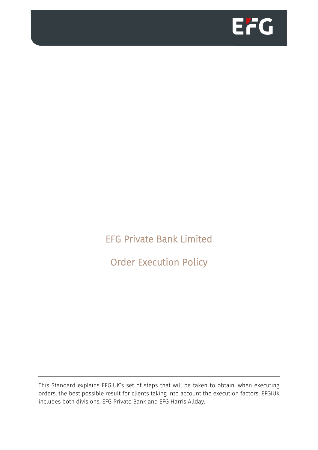

EFG Private Bank Limited

Order Execution Policy

This Standard explains EFGIUK's set of steps that will be taken to obtain, when executing orders, the best possible result for clients taking into account the execution factors. EFGIUK includes both divisions, EFG Private Bank and EFG Harris Allday.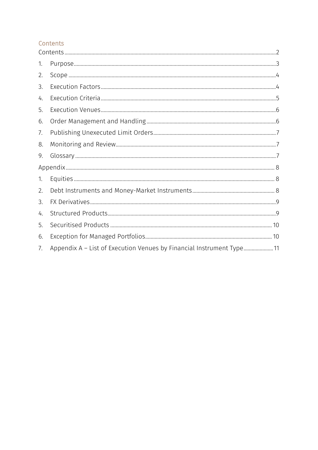### <span id="page-1-0"></span>Contents

| 1. |                                                                       |  |
|----|-----------------------------------------------------------------------|--|
| 2. |                                                                       |  |
| 3. |                                                                       |  |
| 4. |                                                                       |  |
| 5. |                                                                       |  |
| 6. |                                                                       |  |
| 7. |                                                                       |  |
| 8. |                                                                       |  |
| 9. |                                                                       |  |
|    |                                                                       |  |
| 1. |                                                                       |  |
| 2. |                                                                       |  |
| 3. |                                                                       |  |
| 4. |                                                                       |  |
| 5. |                                                                       |  |
| 6. |                                                                       |  |
| 7. | Appendix A – List of Execution Venues by Financial Instrument Type 11 |  |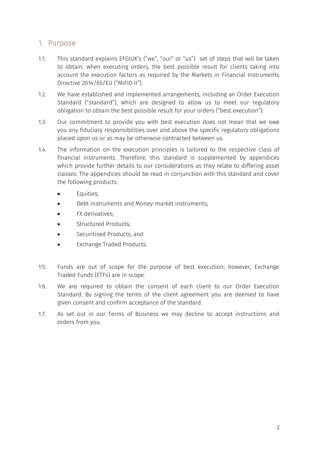### <span id="page-2-0"></span>1. Purpose

- 1.1. This standard explains EFGIUK's ("we", "our" or "us") set of steps that will be taken to obtain, when executing orders, the best possible result for clients taking into account the execution factors as required by the Markets in Financial Instruments Directive 2014/65/EU ("MiFID II").
- 1.2. We have established and implemented arrangements, including an Order Execution Standard ("standard"), which are designed to allow us to meet our regulatory obligation to obtain the best possible result for your orders ("best execution").
- 1.3. Our commitment to provide you with best execution does not mean that we owe you any fiduciary responsibilities over and above the specific regulatory obligations placed upon us or as may be otherwise contracted between us.
- 1.4. The information on the execution principles is tailored to the respective class of financial instruments. Therefore, this standard is supplemented by appendices which provide further details to our considerations as they relate to differing asset classes. The appendices should be read in conjunction with this standard and cover the following products:
	- Equities;
	- Debt instruments and Money-market instruments;
	- FX derivatives;
	- Structured Products;
	- Securitised Products; and
	- Exchange Traded Products.
- 1.5. Funds are out of scope for the purpose of best execution; however, Exchange Traded Funds (ETFs) are in scope.
- 1.6. We are required to obtain the consent of each client to our Order Execution Standard. By signing the terms of the client agreement you are deemed to have given consent and confirm acceptance of the standard.
- 1.7. As set out in our Terms of Business we may decline to accept instructions and orders from you.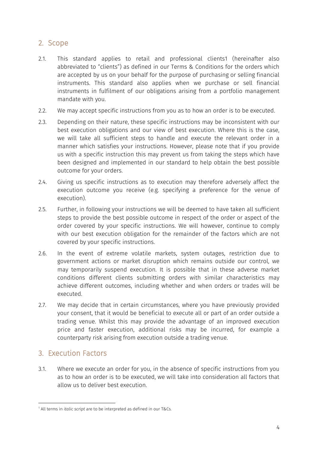## <span id="page-3-0"></span>2. Scope

- 2.1. This standard applies to retail and professional clients1 (hereinafter also abbreviated to "clients") as defined in our Terms & Conditions for the orders which are accepted by us on your behalf for the purpose of purchasing or selling financial instruments. This standard also applies when we purchase or sell financial instruments in fulfilment of our obligations arising from a portfolio management mandate with you.
- 2.2. We may accept specific instructions from you as to how an order is to be executed.
- 2.3. Depending on their nature, these specific instructions may be inconsistent with our best execution obligations and our view of best execution. Where this is the case, we will take all sufficient steps to handle and execute the relevant order in a manner which satisfies your instructions. However, please note that if you provide us with a specific instruction this may prevent us from taking the steps which have been designed and implemented in our standard to help obtain the best possible outcome for your orders.
- 2.4. Giving us specific instructions as to execution may therefore adversely affect the execution outcome you receive (e.g. specifying a preference for the venue of execution).
- 2.5. Further, in following your instructions we will be deemed to have taken all sufficient steps to provide the best possible outcome in respect of the order or aspect of the order covered by your specific instructions. We will however, continue to comply with our best execution obligation for the remainder of the factors which are not covered by your specific instructions.
- 2.6. In the event of extreme volatile markets, system outages, restriction due to government actions or market disruption which remains outside our control, we may temporarily suspend execution. It is possible that in these adverse market conditions different clients submitting orders with similar characteristics may achieve different outcomes, including whether and when orders or trades will be executed.
- 2.7. We may decide that in certain circumstances, where you have previously provided your consent, that it would be beneficial to execute all or part of an order outside a trading venue. Whilst this may provide the advantage of an improved execution price and faster execution, additional risks may be incurred, for example a counterparty risk arising from execution outside a trading venue.

## <span id="page-3-1"></span>3. Execution Factors

3.1. Where we execute an order for you, in the absence of specific instructions from you as to how an order is to be executed, we will take into consideration all factors that allow us to deliver best execution.

<sup>-</sup><sup>1</sup> All terms in *italic script* are to be interpreted as defined in our T&Cs.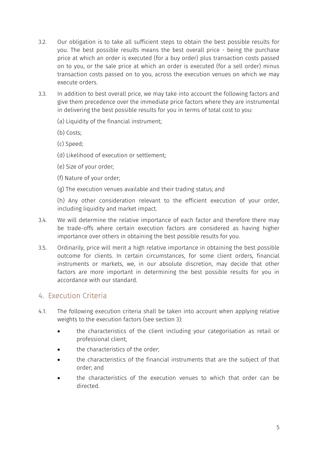- 3.2. Our obligation is to take all sufficient steps to obtain the best possible results for you. The best possible results means the best overall price - being the purchase price at which an order is executed (for a buy order) plus transaction costs passed on to you, or the sale price at which an order is executed (for a sell order) minus transaction costs passed on to you, across the execution venues on which we may execute orders.
- 3.3. In addition to best overall price, we may take into account the following factors and give them precedence over the immediate price factors where they are instrumental in delivering the best possible results for you in terms of total cost to you:
	- (a) Liquidity of the financial instrument;
	- (b) Costs;
	- (c) Speed;
	- (d) Likelihood of execution or settlement;
	- (e) Size of your order;
	- (f) Nature of your order;
	- (g) The execution venues available and their trading status; and

(h) Any other consideration relevant to the efficient execution of your order, including liquidity and market impact.

- 3.4. We will determine the relative importance of each factor and therefore there may be trade-offs where certain execution factors are considered as having higher importance over others in obtaining the best possible results for you.
- 3.5. Ordinarily, price will merit a high relative importance in obtaining the best possible outcome for clients. In certain circumstances, for some client orders, financial instruments or markets, we, in our absolute discretion, may decide that other factors are more important in determining the best possible results for you in accordance with our standard.

## <span id="page-4-0"></span>4. Execution Criteria

- 4.1. The following execution criteria shall be taken into account when applying relative weights to the execution factors (see section 3):
	- the characteristics of the client including your categorisation as retail or professional client;
	- the characteristics of the order;
	- the characteristics of the financial instruments that are the subject of that order; and
	- the characteristics of the execution venues to which that order can be directed.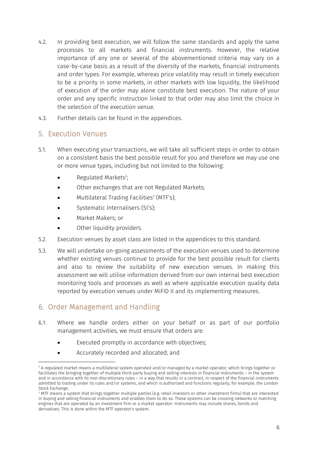- 4.2. In providing best execution, we will follow the same standards and apply the same processes to all markets and financial instruments. However, the relative importance of any one or several of the abovementioned criteria may vary on a case-by-case basis as a result of the diversity of the markets, financial instruments and order types. For example, whereas price volatility may result in timely execution to be a priority in some markets, in other markets with low liquidity, the likelihood of execution of the order may alone constitute best execution. The nature of your order and any specific instruction linked to that order may also limit the choice in the selection of the execution venue.
- 4.3. Further details can be found in the appendices.

#### <span id="page-5-0"></span>5. Execution Venues

- 5.1. When executing your transactions, we will take all sufficient steps in order to obtain on a consistent basis the best possible result for you and therefore we may use one or more venue types, including but not limited to the following:
	- Regulated Markets<sup>2</sup>;
	- Other exchanges that are not Regulated Markets;
	- $\bullet$  Multilateral Trading Facilities $^3$  (MTF's);
	- Systematic Internalisers (SI's);
	- Market Makers; or
	- Other liquidity providers.
- 5.2. Execution venues by asset class are listed in the appendices to this standard.
- 5.3. We will undertake on-going assessments of the execution venues used to determine whether existing venues continue to provide for the best possible result for clients and also to review the suitability of new execution venues. In making this assessment we will utilise information derived from our own internal best execution monitoring tools and processes as well as where applicable execution quality data reported by execution venues under MiFID II and its implementing measures.

## <span id="page-5-1"></span>6. Order Management and Handling

-

- 6.1. Where we handle orders either on your behalf or as part of our portfolio management activities, we must ensure that orders are:
	- Executed promptly in accordance with objectives;
	- Accurately recorded and allocated; and

 $2A$  regulated market means a multilateral system operated and/or managed by a market operator, which brings together or facilitates the bringing together of multiple third-party buying and selling interests in financial instruments – in the system and in accordance with its non-discretionary rules – in a way that results in a contract, in respect of the financial instruments admitted to trading under its rules and/or systems, and which is authorised and functions regularly, for example, the London Stock Exchange.

<sup>&</sup>lt;sup>3</sup> MTF means a system that brings together multiple parties (e.g. retail investors or other investment firms) that are interested in buying and selling financial instruments and enables them to do so. These systems can be crossing networks or matching engines that are operated by an investment firm or a market operator. Instruments may include shares, bonds and derivatives. This is done within the MTF operator's system.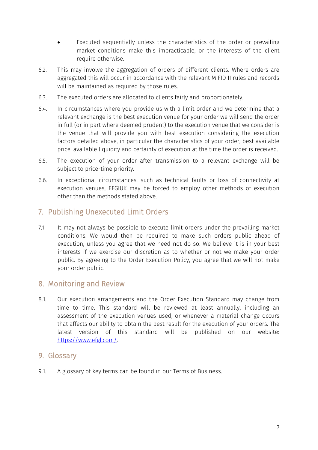- Executed sequentially unless the characteristics of the order or prevailing market conditions make this impracticable, or the interests of the client require otherwise.
- 6.2. This may involve the aggregation of orders of different clients. Where orders are aggregated this will occur in accordance with the relevant MiFID II rules and records will be maintained as required by those rules.
- 6.3. The executed orders are allocated to clients fairly and proportionately.
- 6.4. In circumstances where you provide us with a limit order and we determine that a relevant exchange is the best execution venue for your order we will send the order in full (or in part where deemed prudent) to the execution venue that we consider is the venue that will provide you with best execution considering the execution factors detailed above, in particular the characteristics of your order, best available price, available liquidity and certainty of execution at the time the order is received.
- 6.5. The execution of your order after transmission to a relevant exchange will be subject to price-time priority.
- 6.6. In exceptional circumstances, such as technical faults or loss of connectivity at execution venues, EFGIUK may be forced to employ other methods of execution other than the methods stated above.

## <span id="page-6-0"></span>7. Publishing Unexecuted Limit Orders

7.1 It may not always be possible to execute limit orders under the prevailing market conditions. We would then be required to make such orders public ahead of execution, unless you agree that we need not do so. We believe it is in your best interests if we exercise our discretion as to whether or not we make your order public. By agreeing to the Order Execution Policy, you agree that we will not make your order public.

### <span id="page-6-1"></span>8. Monitoring and Review

8.1. Our execution arrangements and the Order Execution Standard may change from time to time. This standard will be reviewed at least annually, including an assessment of the execution venues used, or whenever a material change occurs that affects our ability to obtain the best result for the execution of your orders. The latest version of this standard will be published on our website: [https://www.efgl.com/.](https://www.efgl.com/)

#### <span id="page-6-2"></span>9. Glossary

9.1. A glossary of key terms can be found in our Terms of Business.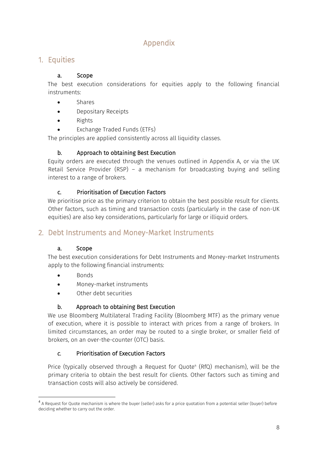# Appendix

## <span id="page-7-1"></span><span id="page-7-0"></span>1. Equities

#### a. Scope

The best execution considerations for equities apply to the following financial instruments:

- Shares
- Depositary Receipts
- Rights
- Exchange Traded Funds (ETFs)

The principles are applied consistently across all liquidity classes.

### b. Approach to obtaining Best Execution

Equity orders are executed through the venues outlined in Appendix A, or via the UK Retail Service Provider (RSP) – a mechanism for broadcasting buying and selling interest to a range of brokers.

### c. Prioritisation of Execution Factors

We prioritise price as the primary criterion to obtain the best possible result for clients. Other factors, such as timing and transaction costs (particularly in the case of non-UK equities) are also key considerations, particularly for large or illiquid orders.

## <span id="page-7-2"></span>2. Debt Instruments and Money-Market Instruments

### a. Scope

The best execution considerations for Debt Instruments and Money-market Instruments apply to the following financial instruments:

- $\bullet$  Bonds
- Money-market instruments
- Other debt securities

### b. Approach to obtaining Best Execution

We use Bloomberg Multilateral Trading Facility (Bloomberg MTF) as the primary venue of execution, where it is possible to interact with prices from a range of brokers. In limited circumstances, an order may be routed to a single broker, or smaller field of brokers, on an over-the-counter (OTC) basis.

### *c.* Prioritisation of Execution Factors

Price (typically observed through a Request for Quote<sup>4</sup> (RfQ) mechanism), will be the primary criteria to obtain the best result for clients. Other factors such as timing and transaction costs will also actively be considered.

<sup>-</sup> $^4$  A Request for Quote mechanism is where the buyer (seller) asks for a price quotation from a potential seller (buyer) before deciding whether to carry out the order.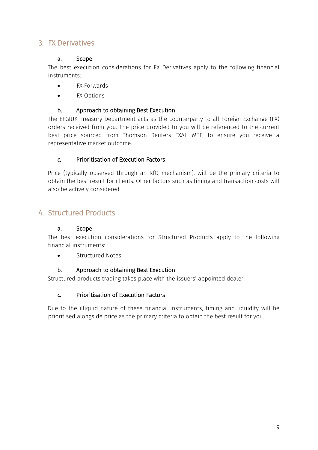## <span id="page-8-0"></span>3. FX Derivatives

#### a. Scope

The best execution considerations for FX Derivatives apply to the following financial instruments:

- FX Forwards
- FX Options

#### b. Approach to obtaining Best Execution

The EFGIUK Treasury Department acts as the counterparty to all Foreign Exchange (FX) orders received from you. The price provided to you will be referenced to the current best price sourced from Thomson Reuters FXAll MTF, to ensure you receive a representative market outcome.

#### *c.* Prioritisation of Execution Factors

Price (typically observed through an RfQ mechanism), will be the primary criteria to obtain the best result for clients. Other factors such as timing and transaction costs will also be actively considered.

### <span id="page-8-1"></span>4. Structured Products

#### a. Scope

The best execution considerations for Structured Products apply to the following financial instruments:

**•** Structured Notes

#### b. Approach to obtaining Best Execution

Structured products trading takes place with the issuers' appointed dealer.

#### *c.* Prioritisation of Execution Factors

Due to the illiquid nature of these financial instruments, timing and liquidity will be prioritised alongside price as the primary criteria to obtain the best result for you.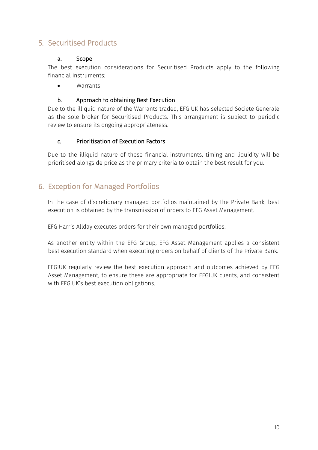## <span id="page-9-0"></span>5. Securitised Products

#### a. Scope

The best execution considerations for Securitised Products apply to the following financial instruments:

**Warrants** 

#### b. Approach to obtaining Best Execution

Due to the illiquid nature of the Warrants traded, EFGIUK has selected Societe Generale as the sole broker for Securitised Products. This arrangement is subject to periodic review to ensure its ongoing appropriateness.

#### *c.* Prioritisation of Execution Factors

Due to the illiquid nature of these financial instruments, timing and liquidity will be prioritised alongside price as the primary criteria to obtain the best result for you.

### <span id="page-9-1"></span>6. Exception for Managed Portfolios

In the case of discretionary managed portfolios maintained by the Private Bank, best execution is obtained by the transmission of orders to EFG Asset Management.

EFG Harris Allday executes orders for their own managed portfolios.

As another entity within the EFG Group, EFG Asset Management applies a consistent best execution standard when executing orders on behalf of clients of the Private Bank.

EFGIUK regularly review the best execution approach and outcomes achieved by EFG Asset Management, to ensure these are appropriate for EFGIUK clients, and consistent with EFGIUK's best execution obligations.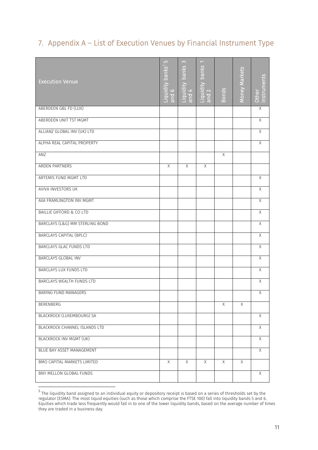# <span id="page-10-0"></span>7. Appendix A – List of Execution Venues by Financial Instrument Type

| <b>Execution Venue</b>              | LO<br>Liquidity banks <sup>5</sup><br>$\circ$<br>$\overline{B}$ | $\infty$<br>banks<br>Liquidity<br>and $4$ | $\overline{\phantom{0}}$<br>Liquidity banks<br>and 2 | <b>Bonds</b>   | Money Markets  | nstruments<br>Other |
|-------------------------------------|-----------------------------------------------------------------|-------------------------------------------|------------------------------------------------------|----------------|----------------|---------------------|
| ABERDEEN GBL FD (LUX)               |                                                                 |                                           |                                                      |                |                | Χ                   |
| ABERDEEN UNIT TST MGMT              |                                                                 |                                           |                                                      |                |                | X                   |
| ALLIANZ GLOBAL INV (UK) LTD         |                                                                 |                                           |                                                      |                |                | $\overline{X}$      |
| ALPHA REAL CAPITAL PROPERTY         |                                                                 |                                           |                                                      |                |                | X                   |
| ANZ                                 |                                                                 |                                           |                                                      | Χ              |                |                     |
| ARDEN PARTNERS                      | $\chi$                                                          | $\times$                                  | $\sf X$                                              |                |                |                     |
| ARTEMIS FUND MGMT LTD               |                                                                 |                                           |                                                      |                |                | $\mathsf X$         |
| AVIVA INVESTORS UK                  |                                                                 |                                           |                                                      |                |                | X                   |
| AXA FRAMLINGTON INV MGMT            |                                                                 |                                           |                                                      |                |                | $\times$            |
| <b>BAILLIE GIFFORD &amp; CO LTD</b> |                                                                 |                                           |                                                      |                |                | X                   |
| BARCLAYS (L&G) MM STERLING BOND     |                                                                 |                                           |                                                      |                |                | $\mathsf X$         |
| <b>BARCLAYS CAPITAL (BPLC)</b>      |                                                                 |                                           |                                                      |                |                | X                   |
| BARCLAYS GLAC FUNDS LTD             |                                                                 |                                           |                                                      |                |                | X                   |
| <b>BARCLAYS GLOBAL INV</b>          |                                                                 |                                           |                                                      |                |                | $\overline{X}$      |
| BARCLAYS LUX FUNDS LTD              |                                                                 |                                           |                                                      |                |                | Χ                   |
| <b>BARCLAYS WEALTH FUNDS LTD</b>    |                                                                 |                                           |                                                      |                |                | $\overline{X}$      |
| <b>BARING FUND MANAGERS</b>         |                                                                 |                                           |                                                      |                |                | $\mathsf X$         |
| <b>BERENBERG</b>                    |                                                                 |                                           |                                                      | $\overline{X}$ | $\overline{X}$ |                     |
| BLACKROCK (LUXEMBOURG) SA           |                                                                 |                                           |                                                      |                |                | $\times$            |
| BLACKROCK CHANNEL ISLANDS LTD       |                                                                 |                                           |                                                      |                |                | X                   |
| <b>BLACKROCK INV MGMT (UK)</b>      |                                                                 |                                           |                                                      |                |                | $\overline{X}$      |
| <b>BLUE BAY ASSET MANAGEMENT</b>    |                                                                 |                                           |                                                      |                |                | $\overline{X}$      |
| <b>BMO CAPITAL MARKETS LIMITED</b>  | $\overline{X}$                                                  | $\overline{X}$                            | $\overline{X}$                                       | $\overline{X}$ | $\overline{X}$ |                     |
| BNY MELLON GLOBAL FUNDS             |                                                                 |                                           |                                                      |                |                | X                   |

 5 The liquidity band assigned to an individual equity or depository receipt is based on a series of thresholds set by the regulator (ESMA). The most liquid equities (such as those which comprise the FTSE 100) fall into liquidity bands 5 and 6. Equities which trade less frequently would fall in to one of the lower liquidity bands, based on the average number of times they are traded in a business day.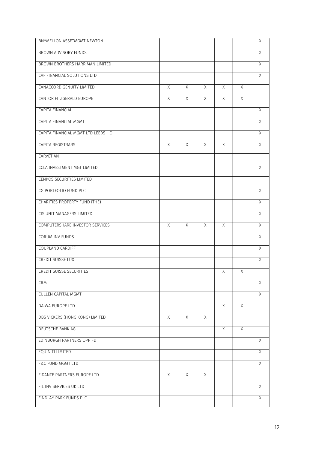| BROWN ADVISORY FUNDS<br>X<br>BROWN BROTHERS HARRIMAN LIMITED<br>X<br>CAF FINANCIAL SOLUTIONS LTD<br>Χ<br>CANACCORD GENUITY LIMITED<br>$\times$<br>X<br>$\times$<br>X<br>X<br>CANTOR FITZGERALD EUROPE<br>X<br>$\times$<br>X<br>X<br>X<br>CAPITA FINANCIAL<br>$\chi$<br>CAPITA FINANCIAL MGMT<br>X<br>CAPITA FINANCIAL MGMT LTD LEEDS - O<br>X<br>CAPITA REGISTRARS<br>X<br>X<br>X<br>X<br>Χ<br>CARVETIAN<br><b>CCLA INVESTMENT MGT LIMITED</b><br>X<br>CENKOS SECURITIES LIMITED<br>CG PORTFOLIO FUND PLC<br>X<br>X<br>CHARITIES PROPERTY FUND (THE)<br>CIS UNIT MANAGERS LIMITED<br>X<br>COMPUTERSHARE INVESTOR SERVICES<br>$\chi$<br>X<br>X<br>$\chi$<br>$\times$<br>CORUM INV FUNDS<br>Χ<br>COUPLAND CARDIFF<br>X<br><b>CREDIT SUISSE LUX</b><br>X<br><b>CREDIT SUISSE SECURITIES</b><br>Χ<br>X<br><b>CRM</b><br>X<br><b>CULLEN CAPITAL MGMT</b><br>X<br>DAIWA EUROPE LTD<br>$\chi$<br>$\times$<br>DBS VICKERS (HONG KONG) LIMITED<br>X<br>X<br>$\times$<br>DEUTSCHE BANK AG<br>Χ<br>X.<br>EDINBURGH PARTNERS OPP FD<br>X<br>EQUINITI LIMITED<br>X<br><b>F&amp;C FUND MGMT LTD</b><br>$\overline{X}$<br>FIDANTE PARTNERS EUROPE LTD<br>X<br>$\times$<br>X<br>FIL INV SERVICES UK LTD<br>X<br>FINDLAY PARK FUNDS PLC<br>X | BNYMELLON ASSETMGMT NEWTON |  |  | Χ |
|-----------------------------------------------------------------------------------------------------------------------------------------------------------------------------------------------------------------------------------------------------------------------------------------------------------------------------------------------------------------------------------------------------------------------------------------------------------------------------------------------------------------------------------------------------------------------------------------------------------------------------------------------------------------------------------------------------------------------------------------------------------------------------------------------------------------------------------------------------------------------------------------------------------------------------------------------------------------------------------------------------------------------------------------------------------------------------------------------------------------------------------------------------------------------------------------------------------------------------|----------------------------|--|--|---|
|                                                                                                                                                                                                                                                                                                                                                                                                                                                                                                                                                                                                                                                                                                                                                                                                                                                                                                                                                                                                                                                                                                                                                                                                                             |                            |  |  |   |
|                                                                                                                                                                                                                                                                                                                                                                                                                                                                                                                                                                                                                                                                                                                                                                                                                                                                                                                                                                                                                                                                                                                                                                                                                             |                            |  |  |   |
|                                                                                                                                                                                                                                                                                                                                                                                                                                                                                                                                                                                                                                                                                                                                                                                                                                                                                                                                                                                                                                                                                                                                                                                                                             |                            |  |  |   |
|                                                                                                                                                                                                                                                                                                                                                                                                                                                                                                                                                                                                                                                                                                                                                                                                                                                                                                                                                                                                                                                                                                                                                                                                                             |                            |  |  |   |
|                                                                                                                                                                                                                                                                                                                                                                                                                                                                                                                                                                                                                                                                                                                                                                                                                                                                                                                                                                                                                                                                                                                                                                                                                             |                            |  |  |   |
|                                                                                                                                                                                                                                                                                                                                                                                                                                                                                                                                                                                                                                                                                                                                                                                                                                                                                                                                                                                                                                                                                                                                                                                                                             |                            |  |  |   |
|                                                                                                                                                                                                                                                                                                                                                                                                                                                                                                                                                                                                                                                                                                                                                                                                                                                                                                                                                                                                                                                                                                                                                                                                                             |                            |  |  |   |
|                                                                                                                                                                                                                                                                                                                                                                                                                                                                                                                                                                                                                                                                                                                                                                                                                                                                                                                                                                                                                                                                                                                                                                                                                             |                            |  |  |   |
|                                                                                                                                                                                                                                                                                                                                                                                                                                                                                                                                                                                                                                                                                                                                                                                                                                                                                                                                                                                                                                                                                                                                                                                                                             |                            |  |  |   |
|                                                                                                                                                                                                                                                                                                                                                                                                                                                                                                                                                                                                                                                                                                                                                                                                                                                                                                                                                                                                                                                                                                                                                                                                                             |                            |  |  |   |
|                                                                                                                                                                                                                                                                                                                                                                                                                                                                                                                                                                                                                                                                                                                                                                                                                                                                                                                                                                                                                                                                                                                                                                                                                             |                            |  |  |   |
|                                                                                                                                                                                                                                                                                                                                                                                                                                                                                                                                                                                                                                                                                                                                                                                                                                                                                                                                                                                                                                                                                                                                                                                                                             |                            |  |  |   |
|                                                                                                                                                                                                                                                                                                                                                                                                                                                                                                                                                                                                                                                                                                                                                                                                                                                                                                                                                                                                                                                                                                                                                                                                                             |                            |  |  |   |
|                                                                                                                                                                                                                                                                                                                                                                                                                                                                                                                                                                                                                                                                                                                                                                                                                                                                                                                                                                                                                                                                                                                                                                                                                             |                            |  |  |   |
|                                                                                                                                                                                                                                                                                                                                                                                                                                                                                                                                                                                                                                                                                                                                                                                                                                                                                                                                                                                                                                                                                                                                                                                                                             |                            |  |  |   |
|                                                                                                                                                                                                                                                                                                                                                                                                                                                                                                                                                                                                                                                                                                                                                                                                                                                                                                                                                                                                                                                                                                                                                                                                                             |                            |  |  |   |
|                                                                                                                                                                                                                                                                                                                                                                                                                                                                                                                                                                                                                                                                                                                                                                                                                                                                                                                                                                                                                                                                                                                                                                                                                             |                            |  |  |   |
|                                                                                                                                                                                                                                                                                                                                                                                                                                                                                                                                                                                                                                                                                                                                                                                                                                                                                                                                                                                                                                                                                                                                                                                                                             |                            |  |  |   |
|                                                                                                                                                                                                                                                                                                                                                                                                                                                                                                                                                                                                                                                                                                                                                                                                                                                                                                                                                                                                                                                                                                                                                                                                                             |                            |  |  |   |
|                                                                                                                                                                                                                                                                                                                                                                                                                                                                                                                                                                                                                                                                                                                                                                                                                                                                                                                                                                                                                                                                                                                                                                                                                             |                            |  |  |   |
|                                                                                                                                                                                                                                                                                                                                                                                                                                                                                                                                                                                                                                                                                                                                                                                                                                                                                                                                                                                                                                                                                                                                                                                                                             |                            |  |  |   |
|                                                                                                                                                                                                                                                                                                                                                                                                                                                                                                                                                                                                                                                                                                                                                                                                                                                                                                                                                                                                                                                                                                                                                                                                                             |                            |  |  |   |
|                                                                                                                                                                                                                                                                                                                                                                                                                                                                                                                                                                                                                                                                                                                                                                                                                                                                                                                                                                                                                                                                                                                                                                                                                             |                            |  |  |   |
|                                                                                                                                                                                                                                                                                                                                                                                                                                                                                                                                                                                                                                                                                                                                                                                                                                                                                                                                                                                                                                                                                                                                                                                                                             |                            |  |  |   |
|                                                                                                                                                                                                                                                                                                                                                                                                                                                                                                                                                                                                                                                                                                                                                                                                                                                                                                                                                                                                                                                                                                                                                                                                                             |                            |  |  |   |
|                                                                                                                                                                                                                                                                                                                                                                                                                                                                                                                                                                                                                                                                                                                                                                                                                                                                                                                                                                                                                                                                                                                                                                                                                             |                            |  |  |   |
|                                                                                                                                                                                                                                                                                                                                                                                                                                                                                                                                                                                                                                                                                                                                                                                                                                                                                                                                                                                                                                                                                                                                                                                                                             |                            |  |  |   |
|                                                                                                                                                                                                                                                                                                                                                                                                                                                                                                                                                                                                                                                                                                                                                                                                                                                                                                                                                                                                                                                                                                                                                                                                                             |                            |  |  |   |
|                                                                                                                                                                                                                                                                                                                                                                                                                                                                                                                                                                                                                                                                                                                                                                                                                                                                                                                                                                                                                                                                                                                                                                                                                             |                            |  |  |   |
|                                                                                                                                                                                                                                                                                                                                                                                                                                                                                                                                                                                                                                                                                                                                                                                                                                                                                                                                                                                                                                                                                                                                                                                                                             |                            |  |  |   |
|                                                                                                                                                                                                                                                                                                                                                                                                                                                                                                                                                                                                                                                                                                                                                                                                                                                                                                                                                                                                                                                                                                                                                                                                                             |                            |  |  |   |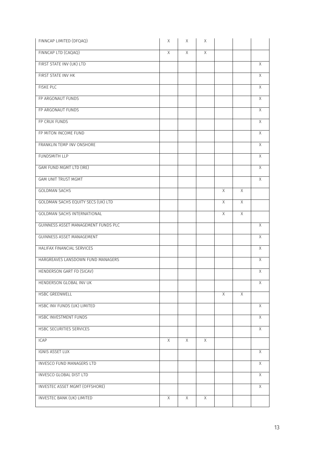| FINNCAP LIMITED (DFQAQ)               | Χ | Χ        | Χ |   |                |                |
|---------------------------------------|---|----------|---|---|----------------|----------------|
| FINNCAP LTD (CAQAQ)                   | Χ | $\times$ | X |   |                |                |
| FIRST STATE INV (UK) LTD              |   |          |   |   |                | X              |
| FIRST STATE INV HK                    |   |          |   |   |                | X              |
| <b>FISKE PLC</b>                      |   |          |   |   |                | X              |
| FP ARGONAUT FUNDS                     |   |          |   |   |                | X              |
| FP ARGONAUT FUNDS                     |   |          |   |   |                | $\times$       |
| FP CRUX FUNDS                         |   |          |   |   |                | X              |
| FP MITON INCOME FUND                  |   |          |   |   |                | X              |
| FRANKLIN TEMP INV ONSHORE             |   |          |   |   |                | $\mathsf X$    |
| <b>FUNDSMITH LLP</b>                  |   |          |   |   |                | $\times$       |
| GAM FUND MGMT LTD (IRE)               |   |          |   |   |                | X              |
| <b>GAM UNIT TRUST MGMT</b>            |   |          |   |   |                | X              |
| <b>GOLDMAN SACHS</b>                  |   |          |   | X | $\times$       |                |
| GOLDMAN SACHS EQUITY SECS (UK) LTD    |   |          |   | X | $\times$       |                |
| <b>GOLDMAN SACHS INTERNATIONAL</b>    |   |          |   | X | $\mathsf X$    |                |
| GUINNESS ASSET MANAGEMENT FUNDS PLC   |   |          |   |   |                | Χ              |
| GUINNESS ASSET MANAGEMENT             |   |          |   |   |                | X              |
| HALIFAX FINANCIAL SERVICES            |   |          |   |   |                | $\overline{X}$ |
| HARGREAVES LANSDOWN FUND MANAGERS     |   |          |   |   |                | X              |
| HENDERSON GART FD (SICAV)             |   |          |   |   |                | Χ              |
| HENDERSON GLOBAL INV UK               |   |          |   |   |                | X              |
| <b>HSBC GREENWELL</b>                 |   |          |   | X | $\overline{X}$ |                |
| HSBC INV FUNDS (UK) LIMITED           |   |          |   |   |                | X              |
| <b>HSBC INVESTMENT FUNDS</b>          |   |          |   |   |                | X              |
| HSBC SECURITIES SERVICES              |   |          |   |   |                | $\mathsf X$    |
| <b>ICAP</b>                           | X | X        | X |   |                |                |
| <b>IGNIS ASSET LUX</b>                |   |          |   |   |                | X              |
| INVESCO FUND MANAGERS LTD             |   |          |   |   |                | X.             |
| <b>INVESCO GLOBAL DIST LTD</b>        |   |          |   |   |                | X              |
| <b>INVESTEC ASSET MGMT (OFFSHORE)</b> |   |          |   |   |                | $\overline{X}$ |
| INVESTEC BANK (UK) LIMITED            | Χ | $\times$ | X |   |                |                |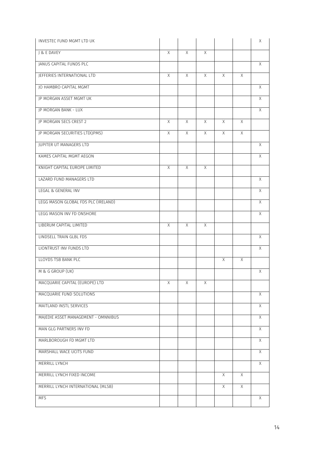| J & E DAVEY<br>$\times$<br>$\times$<br>$\sf X$<br>JANUS CAPITAL FUNDS PLC<br>X<br>JEFFERIES INTERNATIONAL LTD<br>X<br>Χ<br>Χ<br>X<br>X<br>JO HAMBRO CAPITAL MGMT<br>X<br>JP MORGAN ASSET MGMT UK<br>X<br>JP MORGAN BANK - LUX<br>X<br>JP MORGAN SECS CREST 2<br>$\times$<br>X<br>X<br>X<br>X<br>JP MORGAN SECURITIES LTD(JPMS)<br>X<br>X<br>X<br>X<br>X<br>X<br>JUPITER UT MANAGERS LTD<br>KAMES CAPITAL MGMT AEGON<br>X<br>KNIGHT CAPITAL EUROPE LIMITED<br>$\times$<br>X<br>X<br>LAZARD FUND MANAGERS LTD<br>X<br>LEGAL & GENERAL INV<br>X<br>LEGG MASON GLOBAL FDS PLC (IRELAND)<br>X<br>LEGG MASON INV FD ONSHORE<br>X<br>LIBERUM CAPITAL LIMITED<br>X<br>X<br>X<br>LINDSELL TRAIN GLBL FDS<br>Χ<br>LIONTRUST INV FUNDS LTD<br>X<br>LLOYDS TSB BANK PLC<br>$\times$<br>X<br>M & G GROUP (UK)<br>Χ<br>MACQUARIE CAPITAL (EUROPE) LTD<br>X<br>X<br>X<br>MACQUARIE FUND SOLUTIONS<br>X<br>MAITLAND INSTL SERVICES<br>$\chi$<br>MAJEDIE ASSET MANAGEMENT - OMNNIBUS<br>$\overline{X}$<br>MAN GLG PARTNERS INV FD<br>X<br>MARLBOROUGH FD MGMT LTD<br>X<br>MARSHALL WACE UCITS FUND<br>X<br>MERRILL LYNCH<br>$\overline{X}$<br>MERRILL LYNCH FIXED INCOME<br>X<br>X<br>MERRILL LYNCH INTERNATIONAL (MLSB)<br>Χ<br>X<br>X<br><b>MFS</b> | INVESTEC FUND MGMT LTD UK |  |  | Χ |
|--------------------------------------------------------------------------------------------------------------------------------------------------------------------------------------------------------------------------------------------------------------------------------------------------------------------------------------------------------------------------------------------------------------------------------------------------------------------------------------------------------------------------------------------------------------------------------------------------------------------------------------------------------------------------------------------------------------------------------------------------------------------------------------------------------------------------------------------------------------------------------------------------------------------------------------------------------------------------------------------------------------------------------------------------------------------------------------------------------------------------------------------------------------------------------------------------------------------------------------|---------------------------|--|--|---|
|                                                                                                                                                                                                                                                                                                                                                                                                                                                                                                                                                                                                                                                                                                                                                                                                                                                                                                                                                                                                                                                                                                                                                                                                                                      |                           |  |  |   |
|                                                                                                                                                                                                                                                                                                                                                                                                                                                                                                                                                                                                                                                                                                                                                                                                                                                                                                                                                                                                                                                                                                                                                                                                                                      |                           |  |  |   |
|                                                                                                                                                                                                                                                                                                                                                                                                                                                                                                                                                                                                                                                                                                                                                                                                                                                                                                                                                                                                                                                                                                                                                                                                                                      |                           |  |  |   |
|                                                                                                                                                                                                                                                                                                                                                                                                                                                                                                                                                                                                                                                                                                                                                                                                                                                                                                                                                                                                                                                                                                                                                                                                                                      |                           |  |  |   |
|                                                                                                                                                                                                                                                                                                                                                                                                                                                                                                                                                                                                                                                                                                                                                                                                                                                                                                                                                                                                                                                                                                                                                                                                                                      |                           |  |  |   |
|                                                                                                                                                                                                                                                                                                                                                                                                                                                                                                                                                                                                                                                                                                                                                                                                                                                                                                                                                                                                                                                                                                                                                                                                                                      |                           |  |  |   |
|                                                                                                                                                                                                                                                                                                                                                                                                                                                                                                                                                                                                                                                                                                                                                                                                                                                                                                                                                                                                                                                                                                                                                                                                                                      |                           |  |  |   |
|                                                                                                                                                                                                                                                                                                                                                                                                                                                                                                                                                                                                                                                                                                                                                                                                                                                                                                                                                                                                                                                                                                                                                                                                                                      |                           |  |  |   |
|                                                                                                                                                                                                                                                                                                                                                                                                                                                                                                                                                                                                                                                                                                                                                                                                                                                                                                                                                                                                                                                                                                                                                                                                                                      |                           |  |  |   |
|                                                                                                                                                                                                                                                                                                                                                                                                                                                                                                                                                                                                                                                                                                                                                                                                                                                                                                                                                                                                                                                                                                                                                                                                                                      |                           |  |  |   |
|                                                                                                                                                                                                                                                                                                                                                                                                                                                                                                                                                                                                                                                                                                                                                                                                                                                                                                                                                                                                                                                                                                                                                                                                                                      |                           |  |  |   |
|                                                                                                                                                                                                                                                                                                                                                                                                                                                                                                                                                                                                                                                                                                                                                                                                                                                                                                                                                                                                                                                                                                                                                                                                                                      |                           |  |  |   |
|                                                                                                                                                                                                                                                                                                                                                                                                                                                                                                                                                                                                                                                                                                                                                                                                                                                                                                                                                                                                                                                                                                                                                                                                                                      |                           |  |  |   |
|                                                                                                                                                                                                                                                                                                                                                                                                                                                                                                                                                                                                                                                                                                                                                                                                                                                                                                                                                                                                                                                                                                                                                                                                                                      |                           |  |  |   |
|                                                                                                                                                                                                                                                                                                                                                                                                                                                                                                                                                                                                                                                                                                                                                                                                                                                                                                                                                                                                                                                                                                                                                                                                                                      |                           |  |  |   |
|                                                                                                                                                                                                                                                                                                                                                                                                                                                                                                                                                                                                                                                                                                                                                                                                                                                                                                                                                                                                                                                                                                                                                                                                                                      |                           |  |  |   |
|                                                                                                                                                                                                                                                                                                                                                                                                                                                                                                                                                                                                                                                                                                                                                                                                                                                                                                                                                                                                                                                                                                                                                                                                                                      |                           |  |  |   |
|                                                                                                                                                                                                                                                                                                                                                                                                                                                                                                                                                                                                                                                                                                                                                                                                                                                                                                                                                                                                                                                                                                                                                                                                                                      |                           |  |  |   |
|                                                                                                                                                                                                                                                                                                                                                                                                                                                                                                                                                                                                                                                                                                                                                                                                                                                                                                                                                                                                                                                                                                                                                                                                                                      |                           |  |  |   |
|                                                                                                                                                                                                                                                                                                                                                                                                                                                                                                                                                                                                                                                                                                                                                                                                                                                                                                                                                                                                                                                                                                                                                                                                                                      |                           |  |  |   |
|                                                                                                                                                                                                                                                                                                                                                                                                                                                                                                                                                                                                                                                                                                                                                                                                                                                                                                                                                                                                                                                                                                                                                                                                                                      |                           |  |  |   |
|                                                                                                                                                                                                                                                                                                                                                                                                                                                                                                                                                                                                                                                                                                                                                                                                                                                                                                                                                                                                                                                                                                                                                                                                                                      |                           |  |  |   |
|                                                                                                                                                                                                                                                                                                                                                                                                                                                                                                                                                                                                                                                                                                                                                                                                                                                                                                                                                                                                                                                                                                                                                                                                                                      |                           |  |  |   |
|                                                                                                                                                                                                                                                                                                                                                                                                                                                                                                                                                                                                                                                                                                                                                                                                                                                                                                                                                                                                                                                                                                                                                                                                                                      |                           |  |  |   |
|                                                                                                                                                                                                                                                                                                                                                                                                                                                                                                                                                                                                                                                                                                                                                                                                                                                                                                                                                                                                                                                                                                                                                                                                                                      |                           |  |  |   |
|                                                                                                                                                                                                                                                                                                                                                                                                                                                                                                                                                                                                                                                                                                                                                                                                                                                                                                                                                                                                                                                                                                                                                                                                                                      |                           |  |  |   |
|                                                                                                                                                                                                                                                                                                                                                                                                                                                                                                                                                                                                                                                                                                                                                                                                                                                                                                                                                                                                                                                                                                                                                                                                                                      |                           |  |  |   |
|                                                                                                                                                                                                                                                                                                                                                                                                                                                                                                                                                                                                                                                                                                                                                                                                                                                                                                                                                                                                                                                                                                                                                                                                                                      |                           |  |  |   |
|                                                                                                                                                                                                                                                                                                                                                                                                                                                                                                                                                                                                                                                                                                                                                                                                                                                                                                                                                                                                                                                                                                                                                                                                                                      |                           |  |  |   |
|                                                                                                                                                                                                                                                                                                                                                                                                                                                                                                                                                                                                                                                                                                                                                                                                                                                                                                                                                                                                                                                                                                                                                                                                                                      |                           |  |  |   |
|                                                                                                                                                                                                                                                                                                                                                                                                                                                                                                                                                                                                                                                                                                                                                                                                                                                                                                                                                                                                                                                                                                                                                                                                                                      |                           |  |  |   |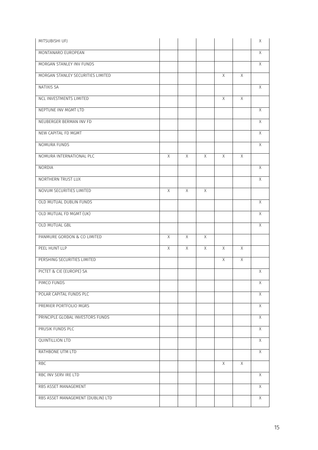| MONTANARO EUROPEAN<br>MORGAN STANLEY INV FUNDS<br>MORGAN STANLEY SECURITIES LIMITED<br>Χ<br>X<br>NATIXIS SA<br><b>NCL INVESTMENTS LIMITED</b><br>X<br>X<br>NEPTUNE INV MGMT LTD<br>NEUBERGER BERMAN INV FD<br>NEW CAPITAL FD MGMT<br>NOMURA FUNDS | X<br>X<br>$\chi$<br>$\chi$<br>X<br>X<br>$\mathsf X$ |
|---------------------------------------------------------------------------------------------------------------------------------------------------------------------------------------------------------------------------------------------------|-----------------------------------------------------|
|                                                                                                                                                                                                                                                   |                                                     |
|                                                                                                                                                                                                                                                   |                                                     |
|                                                                                                                                                                                                                                                   |                                                     |
|                                                                                                                                                                                                                                                   |                                                     |
|                                                                                                                                                                                                                                                   |                                                     |
|                                                                                                                                                                                                                                                   |                                                     |
|                                                                                                                                                                                                                                                   |                                                     |
|                                                                                                                                                                                                                                                   |                                                     |
|                                                                                                                                                                                                                                                   |                                                     |
| NOMURA INTERNATIONAL PLC<br>$\times$<br>X<br>X<br>X<br>X                                                                                                                                                                                          |                                                     |
| NORDIA                                                                                                                                                                                                                                            | $\times$                                            |
| NORTHERN TRUST LUX                                                                                                                                                                                                                                | X                                                   |
| NOVUM SECURITIES LIMITED<br>X<br>X<br>X                                                                                                                                                                                                           |                                                     |
| OLD MUTUAL DUBLIN FUNDS                                                                                                                                                                                                                           | $\mathsf X$                                         |
| OLD MUTUAL FD MGMT (UK)                                                                                                                                                                                                                           | Χ                                                   |
| OLD MUTUAL GBL                                                                                                                                                                                                                                    | X                                                   |
| PANMURE GORDON & CO LIMITED<br>Χ<br>Χ<br>Χ                                                                                                                                                                                                        |                                                     |
| PEEL HUNT LLP<br>X<br>X<br>X<br>X<br>Χ                                                                                                                                                                                                            |                                                     |
| PERSHING SECURITIES LIMITED<br>$\chi$<br>X                                                                                                                                                                                                        |                                                     |
| PICTET & CIE (EUROPE) SA                                                                                                                                                                                                                          | Χ                                                   |
| PIMCO FUNDS                                                                                                                                                                                                                                       | X                                                   |
| POLAR CAPITAL FUNDS PLC                                                                                                                                                                                                                           | X                                                   |
| PREMIER PORTFOLIO MGRS                                                                                                                                                                                                                            | $\times$                                            |
| PRINCIPLE GLOBAL INVESTORS FUNDS                                                                                                                                                                                                                  | $\overline{X}$                                      |
| PRUSIK FUNDS PLC                                                                                                                                                                                                                                  | X                                                   |
| <b>QUINTILLION LTD</b>                                                                                                                                                                                                                            | X                                                   |
| RATHBONE UTM LTD                                                                                                                                                                                                                                  | X                                                   |
| $\overline{X}$<br>$\overline{X}$<br><b>RBC</b>                                                                                                                                                                                                    |                                                     |
| RBC INV SERV IRE LTD                                                                                                                                                                                                                              |                                                     |
| RBS ASSET MANAGEMENT                                                                                                                                                                                                                              | X                                                   |
| RBS ASSET MANAGEMENT (DUBLIN) LTD                                                                                                                                                                                                                 | X                                                   |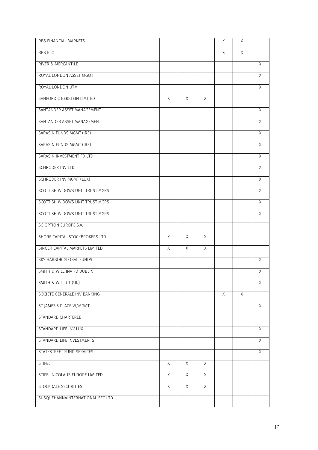| RBS FINANCIAL MARKETS            |                |                |                | Χ | Χ  |                |
|----------------------------------|----------------|----------------|----------------|---|----|----------------|
| RBS PLC                          |                |                |                | X | X  |                |
| RIVER & MERCANTILE               |                |                |                |   |    | X              |
| ROYAL LONDON ASSET MGMT          |                |                |                |   |    | $\times$       |
| ROYAL LONDON UTM                 |                |                |                |   |    | X              |
| SANFORD C BERSTEIN LIMITED       | X              | Χ              | Χ              |   |    |                |
| SANTANDER ASSET MANAGEMENT       |                |                |                |   |    | X              |
| SANTANDER ASSET MANAGEMENT       |                |                |                |   |    | X              |
| SARASIN FUNDS MGMT (IRE)         |                |                |                |   |    | X              |
| SARASIN FUNDS MGMT (IRE)         |                |                |                |   |    | X              |
| SARASIN INVESTMENT FD LTD        |                |                |                |   |    | X              |
| SCHRODER INV LTD                 |                |                |                |   |    | X              |
| <b>SCHRODER INV MGMT (LUX)</b>   |                |                |                |   |    | Χ              |
| SCOTTISH WIDOWS UNIT TRUST MGRS  |                |                |                |   |    | $\times$       |
| SCOTTISH WIDOWS UNIT TRUST MGRS  |                |                |                |   |    | X              |
| SCOTTISH WIDOWS UNIT TRUST MGRS  |                |                |                |   |    | X              |
| SG OPTION EUROPE S.A.            |                |                |                |   |    |                |
| SHORE CAPITAL STOCKBROKERS LTD   | X              | X              | X              |   |    |                |
| SINGER CAPITAL MARKETS LIMITED   | $\overline{X}$ | $\overline{X}$ | $\chi$         |   |    |                |
| SKY HARBOR GLOBAL FUNDS          |                |                |                |   |    | Χ              |
| SMITH & WILL INV FD DUBLIN       |                |                |                |   |    | Χ              |
| SMITH & WILL UT (UK)             |                |                |                |   |    | X              |
| SOCIETE GENERALE INV BANKING     |                |                |                | Χ | X. |                |
| ST JAMES'S PLACE W/MGMT          |                |                |                |   |    | $\times$       |
| STANDARD CHARTERED               |                |                |                |   |    |                |
| STANDARD LIFE INV LUX            |                |                |                |   |    | $\times$       |
| STANDARD LIFE INVESTMENTS        |                |                |                |   |    | $\overline{X}$ |
| STATESTREET FUND SERVICES        |                |                |                |   |    | X              |
| <b>STIFEL</b>                    | X              | $\times$       | X              |   |    |                |
| STIFEL NICOLAUS EUROPE LIMITED   | $\chi$         | $\chi$         | X              |   |    |                |
| STOCKDALE SECURITIES             | $\chi$         | $\overline{X}$ | $\overline{X}$ |   |    |                |
| SUSQUEHANNAINTERNATIONAL SEC LTD |                |                |                |   |    |                |
|                                  |                |                |                |   |    |                |